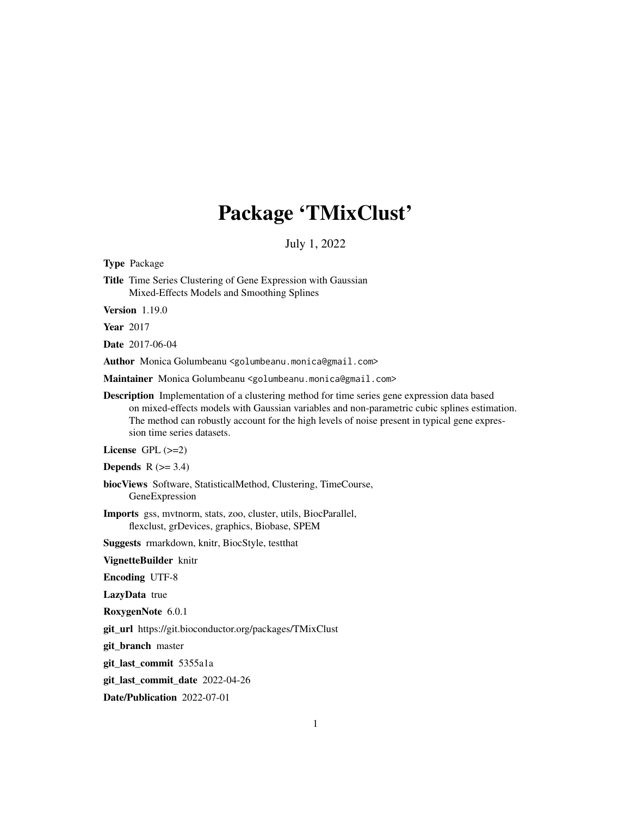# Package 'TMixClust'

July 1, 2022

Type Package Title Time Series Clustering of Gene Expression with Gaussian Mixed-Effects Models and Smoothing Splines Version 1.19.0 Year 2017 Date 2017-06-04 Author Monica Golumbeanu <golumbeanu.monica@gmail.com> Maintainer Monica Golumbeanu <golumbeanu.monica@gmail.com> Description Implementation of a clustering method for time series gene expression data based on mixed-effects models with Gaussian variables and non-parametric cubic splines estimation. The method can robustly account for the high levels of noise present in typical gene expression time series datasets. License  $GPL$  ( $>=2$ ) **Depends**  $R$  ( $>= 3.4$ ) biocViews Software, StatisticalMethod, Clustering, TimeCourse, GeneExpression Imports gss, mvtnorm, stats, zoo, cluster, utils, BiocParallel, flexclust, grDevices, graphics, Biobase, SPEM Suggests rmarkdown, knitr, BiocStyle, testthat VignetteBuilder knitr Encoding UTF-8 LazyData true RoxygenNote 6.0.1 git\_url https://git.bioconductor.org/packages/TMixClust git\_branch master git\_last\_commit 5355a1a git\_last\_commit\_date 2022-04-26

Date/Publication 2022-07-01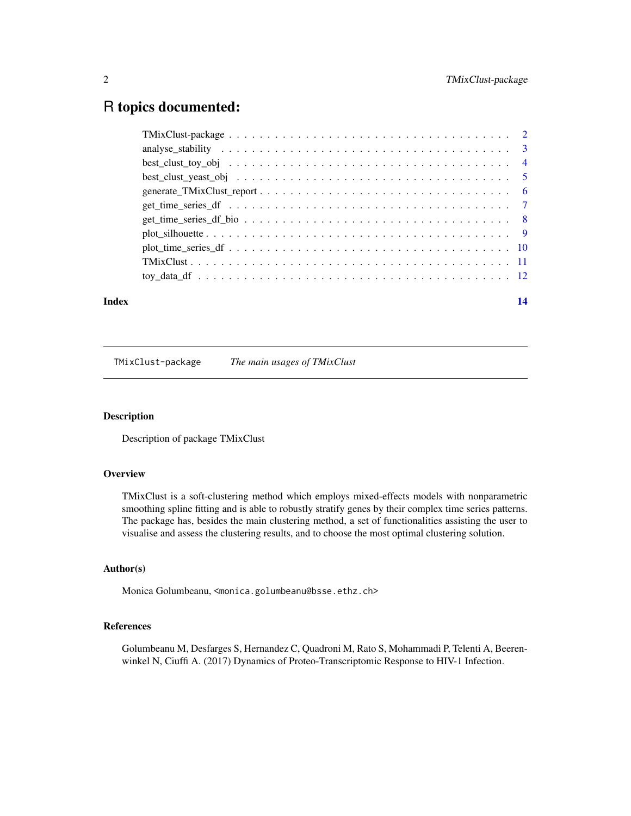# <span id="page-1-0"></span>R topics documented:

| Index | 14 |
|-------|----|

TMixClust-package *The main usages of TMixClust*

#### Description

Description of package TMixClust

# **Overview**

TMixClust is a soft-clustering method which employs mixed-effects models with nonparametric smoothing spline fitting and is able to robustly stratify genes by their complex time series patterns. The package has, besides the main clustering method, a set of functionalities assisting the user to visualise and assess the clustering results, and to choose the most optimal clustering solution.

#### Author(s)

Monica Golumbeanu, <monica.golumbeanu@bsse.ethz.ch>

# References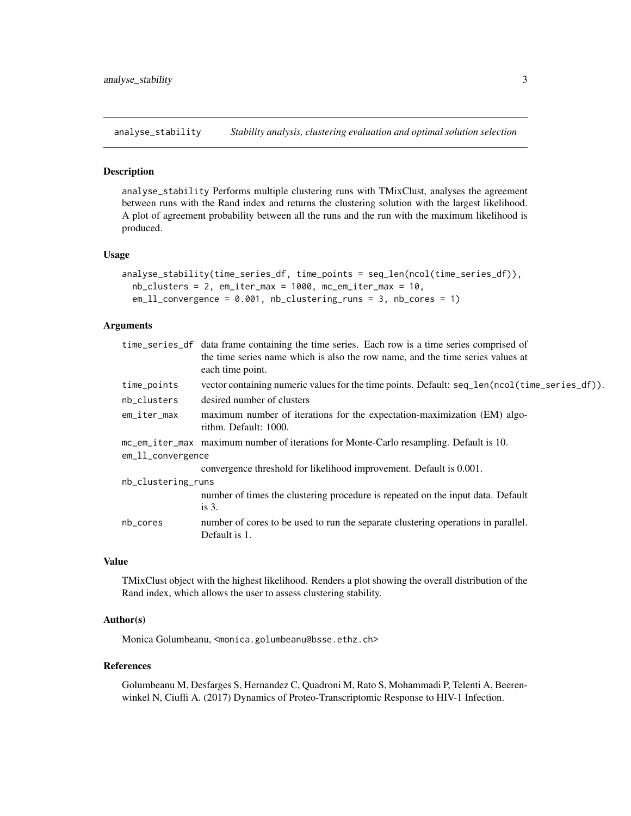<span id="page-2-0"></span>analyse\_stability *Stability analysis, clustering evaluation and optimal solution selection*

#### Description

analyse\_stability Performs multiple clustering runs with TMixClust, analyses the agreement between runs with the Rand index and returns the clustering solution with the largest likelihood. A plot of agreement probability between all the runs and the run with the maximum likelihood is produced.

#### Usage

```
analyse_stability(time_series_df, time_points = seq_len(ncol(time_series_df)),
  nb_{\text{clusters}} = 2, em_iter_max = 1000, mc_em_iter_max = 10,
  em_ll_convergence = 0.001, nb_clustering_runs = 3, nb_cores = 1)
```
#### Arguments

|                    | time_series_df data frame containing the time series. Each row is a time series comprised of<br>the time series name which is also the row name, and the time series values at<br>each time point. |  |  |
|--------------------|----------------------------------------------------------------------------------------------------------------------------------------------------------------------------------------------------|--|--|
| time_points        | vector containing numeric values for the time points. Default: seq_len(ncol(time_series_df)).                                                                                                      |  |  |
| nb_clusters        | desired number of clusters                                                                                                                                                                         |  |  |
| em_iter_max        | maximum number of iterations for the expectation-maximization (EM) algo-<br>rithm. Default: 1000.                                                                                                  |  |  |
|                    | mc_em_iter_max maximum number of iterations for Monte-Carlo resampling. Default is 10.                                                                                                             |  |  |
| em_11_convergence  |                                                                                                                                                                                                    |  |  |
|                    | convergence threshold for likelihood improvement. Default is 0.001.                                                                                                                                |  |  |
| nb_clustering_runs |                                                                                                                                                                                                    |  |  |
|                    | number of times the clustering procedure is repeated on the input data. Default<br>is $3$ .                                                                                                        |  |  |
| nb_cores           | number of cores to be used to run the separate clustering operations in parallel.<br>Default is 1.                                                                                                 |  |  |
|                    |                                                                                                                                                                                                    |  |  |

#### Value

TMixClust object with the highest likelihood. Renders a plot showing the overall distribution of the Rand index, which allows the user to assess clustering stability.

#### Author(s)

Monica Golumbeanu, <monica.golumbeanu@bsse.ethz.ch>

#### References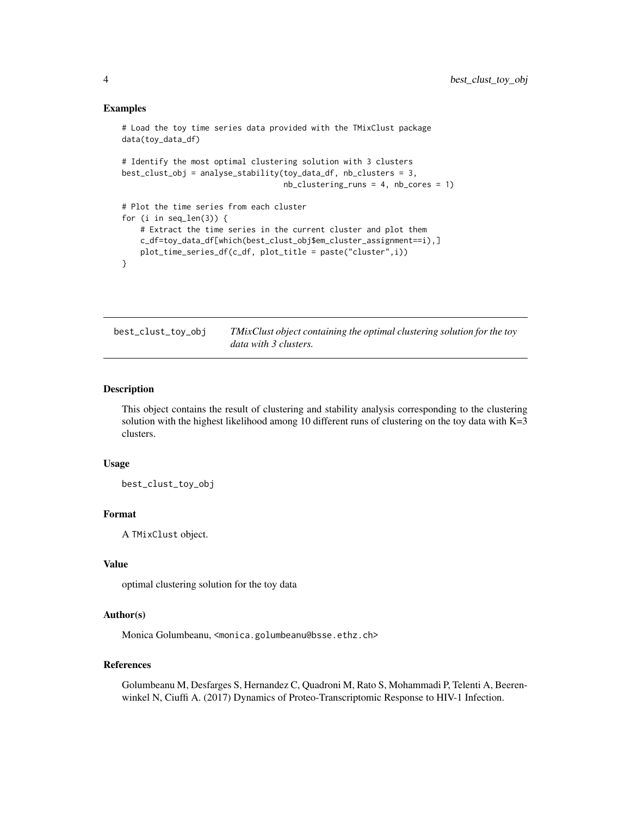#### <span id="page-3-0"></span>Examples

```
# Load the toy time series data provided with the TMixClust package
data(toy_data_df)
# Identify the most optimal clustering solution with 3 clusters
best_clust_obj = analyse_stability(toy_data_df, nb_clusters = 3,
                                    nb_{\text{clustering\_runs}} = 4, nb_{\text{cores}} = 1# Plot the time series from each cluster
for (i in seq_len(3)) {
    # Extract the time series in the current cluster and plot them
   c_df=toy_data_df[which(best_clust_obj$em_cluster_assignment==i),]
   plot_time_series_df(c_df, plot_title = paste("cluster",i))
}
```
best\_clust\_toy\_obj *TMixClust object containing the optimal clustering solution for the toy data with 3 clusters.*

#### Description

This object contains the result of clustering and stability analysis corresponding to the clustering solution with the highest likelihood among 10 different runs of clustering on the toy data with  $K=3$ clusters.

#### Usage

best\_clust\_toy\_obj

### Format

A TMixClust object.

#### Value

optimal clustering solution for the toy data

#### Author(s)

Monica Golumbeanu, <monica.golumbeanu@bsse.ethz.ch>

### References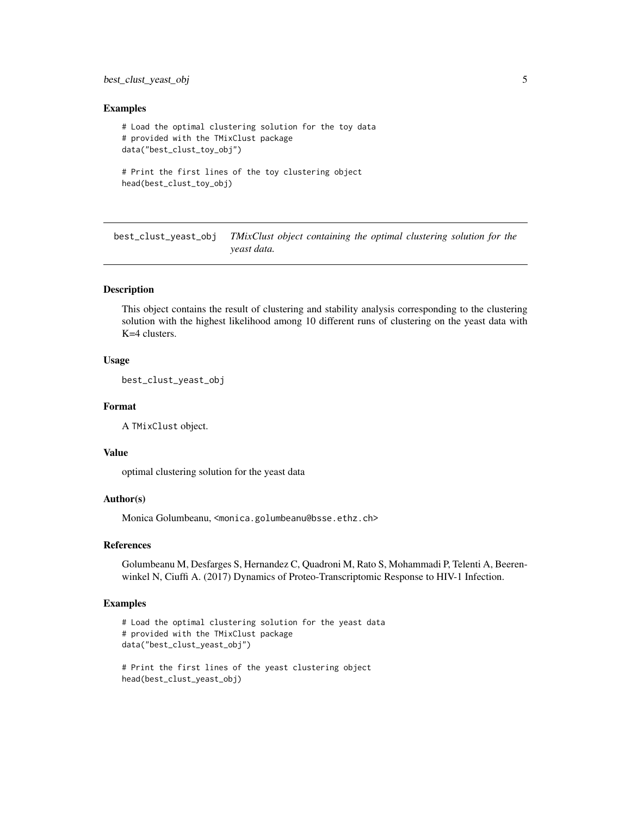# <span id="page-4-0"></span>best\_clust\_yeast\_obj 5

#### Examples

```
# Load the optimal clustering solution for the toy data
# provided with the TMixClust package
data("best_clust_toy_obj")
# Print the first lines of the toy clustering object
```

```
head(best_clust_toy_obj)
```
best\_clust\_yeast\_obj *TMixClust object containing the optimal clustering solution for the yeast data.*

# **Description**

This object contains the result of clustering and stability analysis corresponding to the clustering solution with the highest likelihood among 10 different runs of clustering on the yeast data with K=4 clusters.

#### Usage

best\_clust\_yeast\_obj

#### Format

A TMixClust object.

### Value

optimal clustering solution for the yeast data

# Author(s)

Monica Golumbeanu, <monica.golumbeanu@bsse.ethz.ch>

#### References

Golumbeanu M, Desfarges S, Hernandez C, Quadroni M, Rato S, Mohammadi P, Telenti A, Beerenwinkel N, Ciuffi A. (2017) Dynamics of Proteo-Transcriptomic Response to HIV-1 Infection.

### Examples

```
# Load the optimal clustering solution for the yeast data
# provided with the TMixClust package
data("best_clust_yeast_obj")
# Print the first lines of the yeast clustering object
```

```
head(best_clust_yeast_obj)
```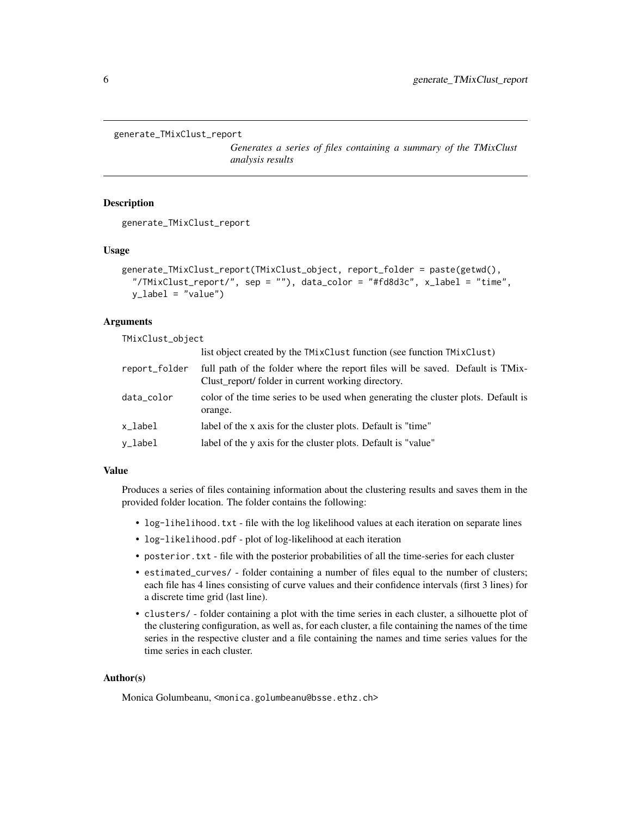```
generate_TMixClust_report
```
*Generates a series of files containing a summary of the TMixClust analysis results*

# Description

generate\_TMixClust\_report

#### Usage

```
generate_TMixClust_report(TMixClust_object, report_folder = paste(getwd(),
  "/TMixClust_report/", sep = ""), data_color = "#fd8d3c", x_label = "time",
 y_label = "value")
```
# Arguments

TMixClust\_object

|               | list object created by the TMixClust function (see function TMixClust)                                                              |
|---------------|-------------------------------------------------------------------------------------------------------------------------------------|
| report_folder | full path of the folder where the report files will be saved. Default is TMix-<br>Clust_report/folder in current working directory. |
| data_color    | color of the time series to be used when generating the cluster plots. Default is<br>orange.                                        |
| x_label       | label of the x axis for the cluster plots. Default is "time"                                                                        |
| y_label       | label of the y axis for the cluster plots. Default is "value"                                                                       |

#### Value

Produces a series of files containing information about the clustering results and saves them in the provided folder location. The folder contains the following:

- log-lihelihood.txt file with the log likelihood values at each iteration on separate lines
- log-likelihood.pdf plot of log-likelihood at each iteration
- posterior.txt file with the posterior probabilities of all the time-series for each cluster
- estimated\_curves/ folder containing a number of files equal to the number of clusters; each file has 4 lines consisting of curve values and their confidence intervals (first 3 lines) for a discrete time grid (last line).
- clusters/ folder containing a plot with the time series in each cluster, a silhouette plot of the clustering configuration, as well as, for each cluster, a file containing the names of the time series in the respective cluster and a file containing the names and time series values for the time series in each cluster.

### Author(s)

Monica Golumbeanu, <monica.golumbeanu@bsse.ethz.ch>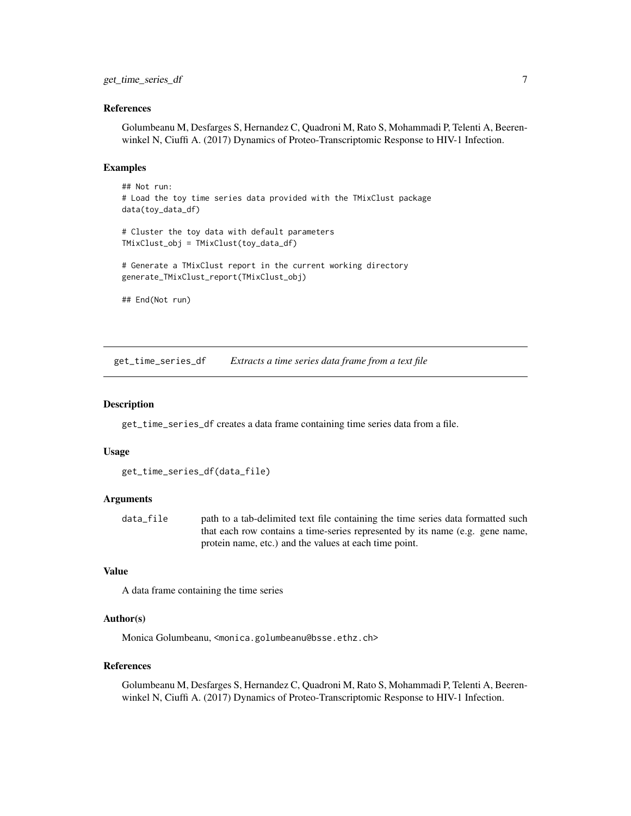#### <span id="page-6-0"></span>References

Golumbeanu M, Desfarges S, Hernandez C, Quadroni M, Rato S, Mohammadi P, Telenti A, Beerenwinkel N, Ciuffi A. (2017) Dynamics of Proteo-Transcriptomic Response to HIV-1 Infection.

#### Examples

```
## Not run:
# Load the toy time series data provided with the TMixClust package
data(toy_data_df)
# Cluster the toy data with default parameters
TMixClust_obj = TMixClust(toy_data_df)
# Generate a TMixClust report in the current working directory
generate_TMixClust_report(TMixClust_obj)
```
## End(Not run)

get\_time\_series\_df *Extracts a time series data frame from a text file*

#### **Description**

get\_time\_series\_df creates a data frame containing time series data from a file.

#### Usage

```
get_time_series_df(data_file)
```
#### Arguments

data\_file path to a tab-delimited text file containing the time series data formatted such that each row contains a time-series represented by its name (e.g. gene name, protein name, etc.) and the values at each time point.

## Value

A data frame containing the time series

#### Author(s)

Monica Golumbeanu, <monica.golumbeanu@bsse.ethz.ch>

#### References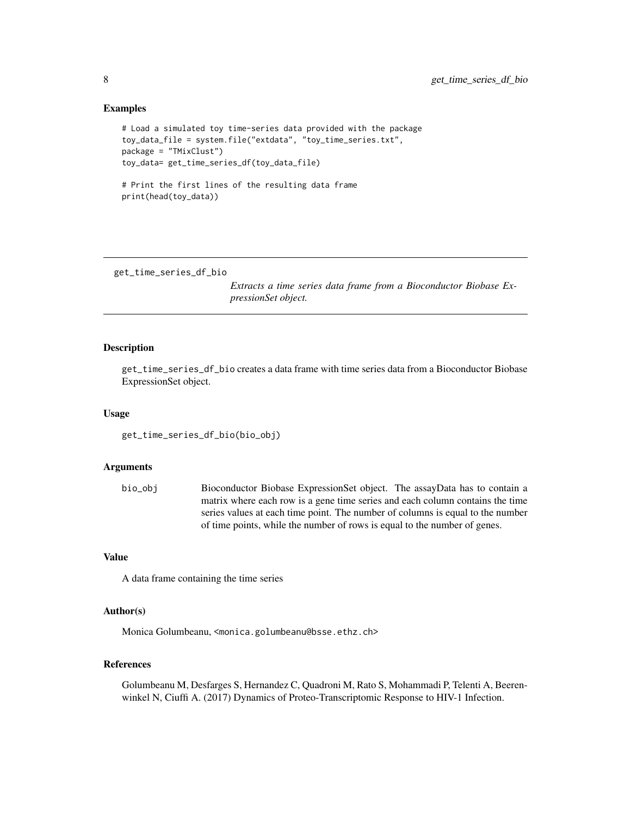#### Examples

```
# Load a simulated toy time-series data provided with the package
toy_data_file = system.file("extdata", "toy_time_series.txt",
package = "TMixClust")
toy_data= get_time_series_df(toy_data_file)
```

```
# Print the first lines of the resulting data frame
print(head(toy_data))
```

```
get_time_series_df_bio
```
*Extracts a time series data frame from a Bioconductor Biobase ExpressionSet object.*

#### Description

get\_time\_series\_df\_bio creates a data frame with time series data from a Bioconductor Biobase ExpressionSet object.

#### Usage

```
get_time_series_df_bio(bio_obj)
```
#### Arguments

bio\_obj Bioconductor Biobase ExpressionSet object. The assayData has to contain a matrix where each row is a gene time series and each column contains the time series values at each time point. The number of columns is equal to the number of time points, while the number of rows is equal to the number of genes.

#### Value

A data frame containing the time series

#### Author(s)

Monica Golumbeanu, <monica.golumbeanu@bsse.ethz.ch>

# References

<span id="page-7-0"></span>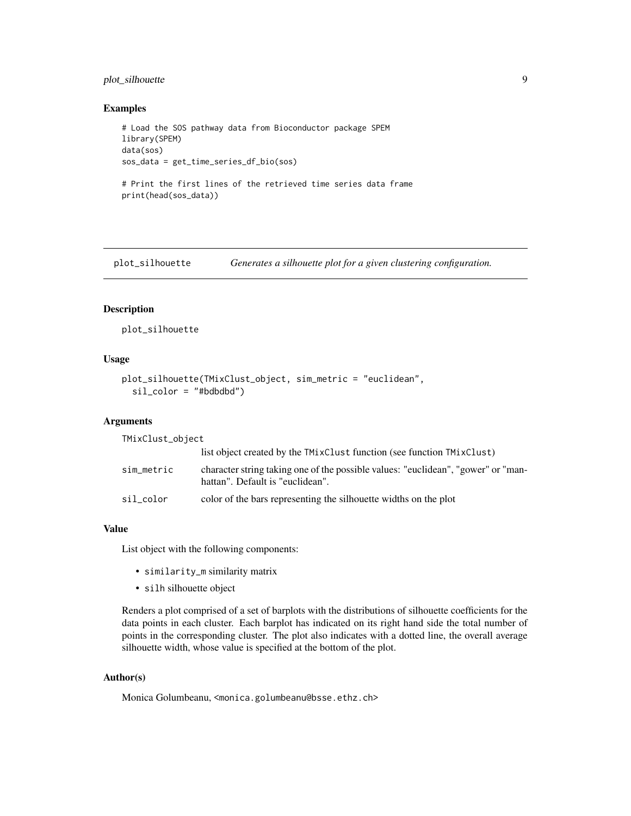# <span id="page-8-0"></span>plot\_silhouette 9

#### Examples

```
# Load the SOS pathway data from Bioconductor package SPEM
library(SPEM)
data(sos)
sos_data = get_time_series_df_bio(sos)
# Print the first lines of the retrieved time series data frame
print(head(sos_data))
```
plot\_silhouette *Generates a silhouette plot for a given clustering configuration.*

#### Description

plot\_silhouette

#### Usage

```
plot_silhouette(TMixClust_object, sim_metric = "euclidean",
  sil\_color = "#bdbdd")
```
#### Arguments

TMixClust\_object

|            | list object created by the TMixClust function (see function TMixClust)                                                |
|------------|-----------------------------------------------------------------------------------------------------------------------|
| sim_metric | character string taking one of the possible values: "euclidean", "gower" or "man-<br>hattan". Default is "euclidean". |
| sil color  | color of the bars representing the silhouette widths on the plot                                                      |

#### Value

List object with the following components:

- similarity\_m similarity matrix
- silh silhouette object

Renders a plot comprised of a set of barplots with the distributions of silhouette coefficients for the data points in each cluster. Each barplot has indicated on its right hand side the total number of points in the corresponding cluster. The plot also indicates with a dotted line, the overall average silhouette width, whose value is specified at the bottom of the plot.

#### Author(s)

Monica Golumbeanu, <monica.golumbeanu@bsse.ethz.ch>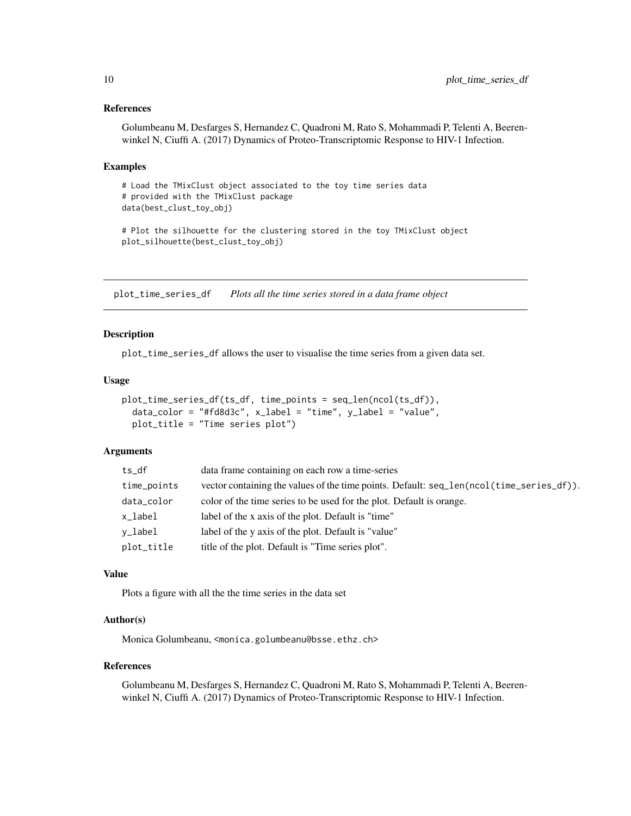#### <span id="page-9-0"></span>References

Golumbeanu M, Desfarges S, Hernandez C, Quadroni M, Rato S, Mohammadi P, Telenti A, Beerenwinkel N, Ciuffi A. (2017) Dynamics of Proteo-Transcriptomic Response to HIV-1 Infection.

#### Examples

# Load the TMixClust object associated to the toy time series data # provided with the TMixClust package data(best\_clust\_toy\_obj)

# Plot the silhouette for the clustering stored in the toy TMixClust object plot\_silhouette(best\_clust\_toy\_obj)

plot\_time\_series\_df *Plots all the time series stored in a data frame object*

#### Description

plot\_time\_series\_df allows the user to visualise the time series from a given data set.

#### Usage

```
plot_time_series_df(ts_df, time_points = seq_len(ncol(ts_df)),
  data\_color = "#fd8d3c", x\_label = "time", y\_label = "value",plot_title = "Time series plot")
```
#### Arguments

| ts df       | data frame containing on each row a time-series                                          |
|-------------|------------------------------------------------------------------------------------------|
| time_points | vector containing the values of the time points. Default: seq_len(ncol(time_series_df)). |
| data_color  | color of the time series to be used for the plot. Default is orange.                     |
| x_label     | label of the x axis of the plot. Default is "time"                                       |
| v_label     | label of the y axis of the plot. Default is "value"                                      |
| plot_title  | title of the plot. Default is "Time series plot".                                        |

#### Value

Plots a figure with all the the time series in the data set

#### Author(s)

Monica Golumbeanu, <monica.golumbeanu@bsse.ethz.ch>

#### References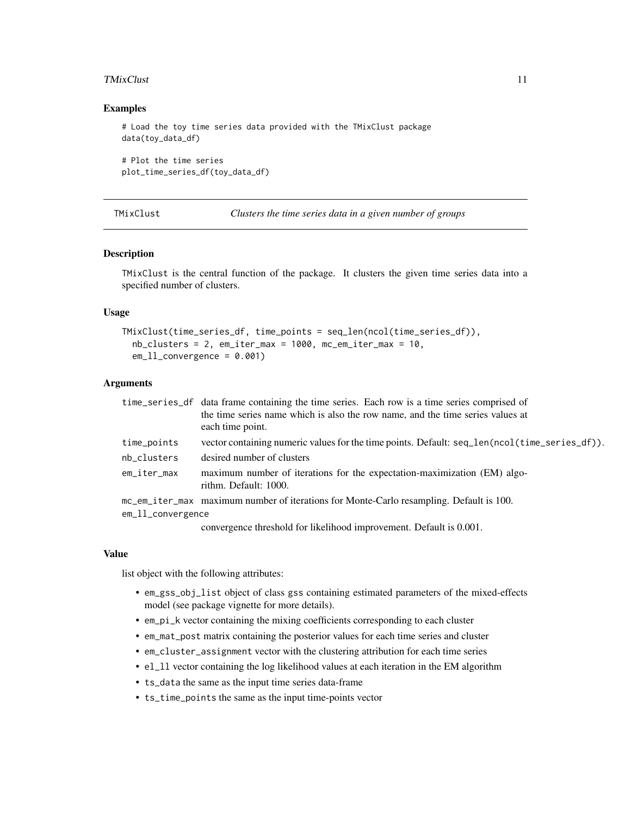#### <span id="page-10-0"></span>TMixClust 11

#### Examples

```
# Load the toy time series data provided with the TMixClust package
data(toy_data_df)
```

```
# Plot the time series
plot_time_series_df(toy_data_df)
```
TMixClust *Clusters the time series data in a given number of groups*

# Description

TMixClust is the central function of the package. It clusters the given time series data into a specified number of clusters.

#### Usage

```
TMixClust(time_series_df, time_points = seq_len(ncol(time_series_df)),
  nb_clusters = 2, em_iter_max = 1000, mc_em_iter_max = 10,
  em_l1_convergence = 0.001)
```
#### Arguments

|                       | time_series_df data frame containing the time series. Each row is a time series comprised of       |
|-----------------------|----------------------------------------------------------------------------------------------------|
|                       | the time series name which is also the row name, and the time series values at<br>each time point. |
| time_points           | vector containing numeric values for the time points. Default: seq_len(ncol(time_series_df)).      |
| nb_clusters           | desired number of clusters                                                                         |
| em_iter_max           | maximum number of iterations for the expectation-maximization (EM) algo-<br>rithm. Default: 1000.  |
|                       | mc_em_iter_max maximum number of iterations for Monte-Carlo resampling. Default is 100.            |
| $em\_11$ _convergence |                                                                                                    |
|                       | convergence threshold for likelihood improvement. Default is 0.001.                                |

#### Value

list object with the following attributes:

- em\_gss\_obj\_list object of class gss containing estimated parameters of the mixed-effects model (see package vignette for more details).
- em\_pi\_k vector containing the mixing coefficients corresponding to each cluster
- em\_mat\_post matrix containing the posterior values for each time series and cluster
- em\_cluster\_assignment vector with the clustering attribution for each time series
- el\_ll vector containing the log likelihood values at each iteration in the EM algorithm
- ts\_data the same as the input time series data-frame
- ts\_time\_points the same as the input time-points vector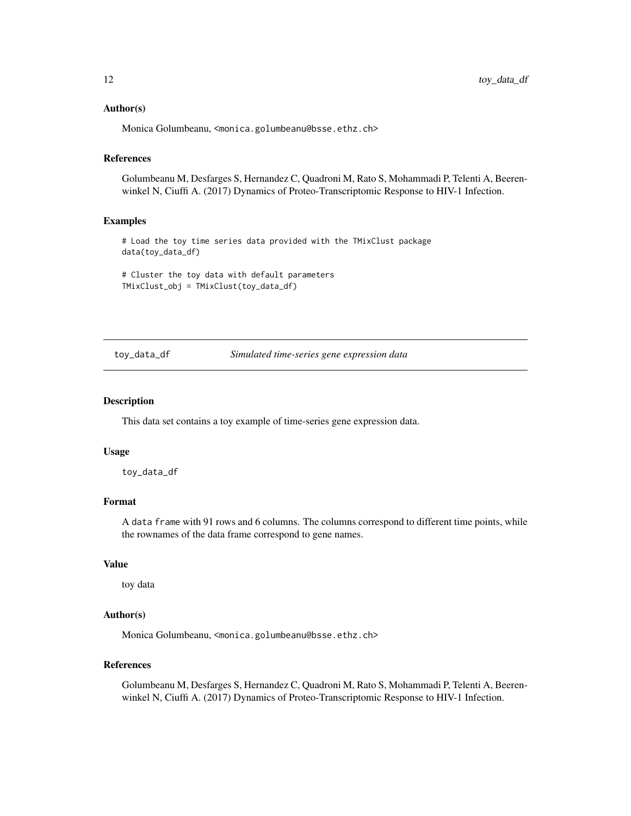#### <span id="page-11-0"></span>Author(s)

Monica Golumbeanu, <monica.golumbeanu@bsse.ethz.ch>

# References

Golumbeanu M, Desfarges S, Hernandez C, Quadroni M, Rato S, Mohammadi P, Telenti A, Beerenwinkel N, Ciuffi A. (2017) Dynamics of Proteo-Transcriptomic Response to HIV-1 Infection.

#### Examples

# Load the toy time series data provided with the TMixClust package data(toy\_data\_df)

# Cluster the toy data with default parameters TMixClust\_obj = TMixClust(toy\_data\_df)

toy\_data\_df *Simulated time-series gene expression data*

#### Description

This data set contains a toy example of time-series gene expression data.

#### Usage

toy\_data\_df

# Format

A data frame with 91 rows and 6 columns. The columns correspond to different time points, while the rownames of the data frame correspond to gene names.

#### Value

toy data

#### Author(s)

Monica Golumbeanu, <monica.golumbeanu@bsse.ethz.ch>

### References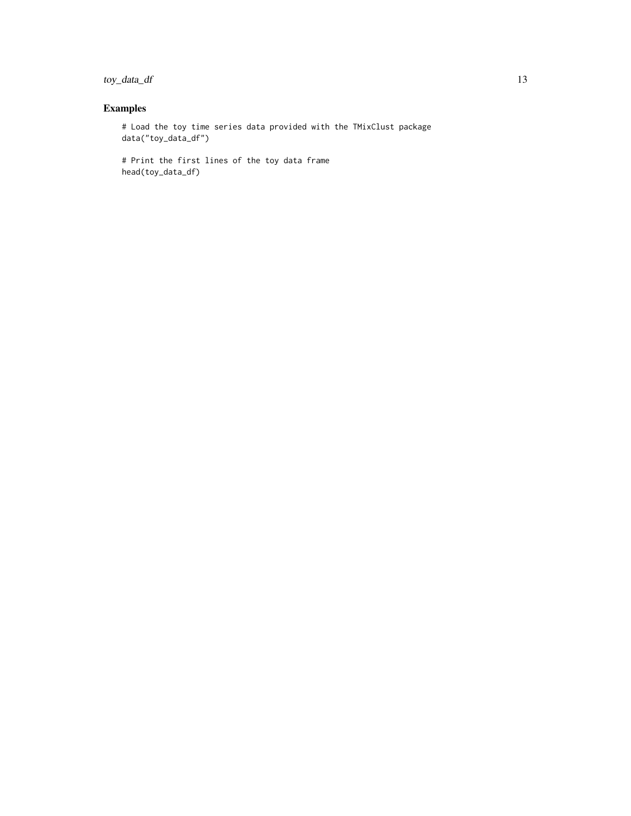toy\_data\_df 13

# Examples

# Load the toy time series data provided with the TMixClust package data("toy\_data\_df")

# Print the first lines of the toy data frame head(toy\_data\_df)